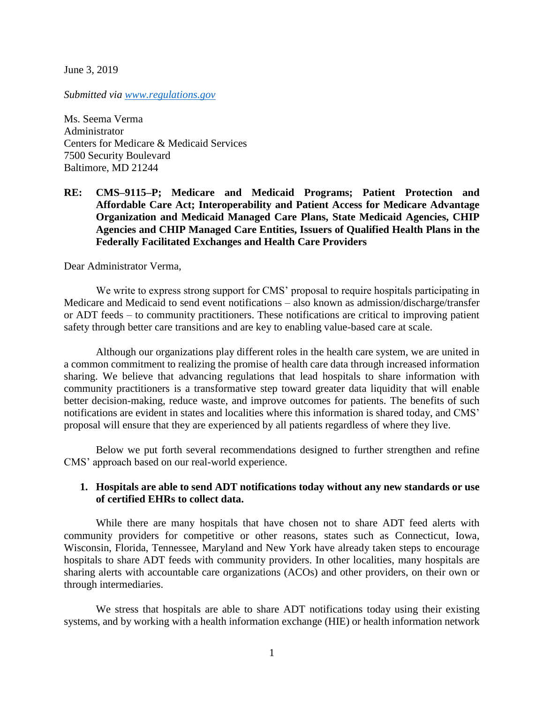June 3, 2019

*Submitted via [www.regulations.gov](http://www.regulations.gov/)*

Ms. Seema Verma Administrator Centers for Medicare & Medicaid Services 7500 Security Boulevard Baltimore, MD 21244

**RE: CMS–9115–P; Medicare and Medicaid Programs; Patient Protection and Affordable Care Act; Interoperability and Patient Access for Medicare Advantage Organization and Medicaid Managed Care Plans, State Medicaid Agencies, CHIP Agencies and CHIP Managed Care Entities, Issuers of Qualified Health Plans in the Federally Facilitated Exchanges and Health Care Providers**

Dear Administrator Verma,

We write to express strong support for CMS' proposal to require hospitals participating in Medicare and Medicaid to send event notifications – also known as admission/discharge/transfer or ADT feeds – to community practitioners. These notifications are critical to improving patient safety through better care transitions and are key to enabling value-based care at scale.

Although our organizations play different roles in the health care system, we are united in a common commitment to realizing the promise of health care data through increased information sharing. We believe that advancing regulations that lead hospitals to share information with community practitioners is a transformative step toward greater data liquidity that will enable better decision-making, reduce waste, and improve outcomes for patients. The benefits of such notifications are evident in states and localities where this information is shared today, and CMS' proposal will ensure that they are experienced by all patients regardless of where they live.

Below we put forth several recommendations designed to further strengthen and refine CMS' approach based on our real-world experience.

### **1. Hospitals are able to send ADT notifications today without any new standards or use of certified EHRs to collect data.**

While there are many hospitals that have chosen not to share ADT feed alerts with community providers for competitive or other reasons, states such as Connecticut, Iowa, Wisconsin, Florida, Tennessee, Maryland and New York have already taken steps to encourage hospitals to share ADT feeds with community providers. In other localities, many hospitals are sharing alerts with accountable care organizations (ACOs) and other providers, on their own or through intermediaries.

We stress that hospitals are able to share ADT notifications today using their existing systems, and by working with a health information exchange (HIE) or health information network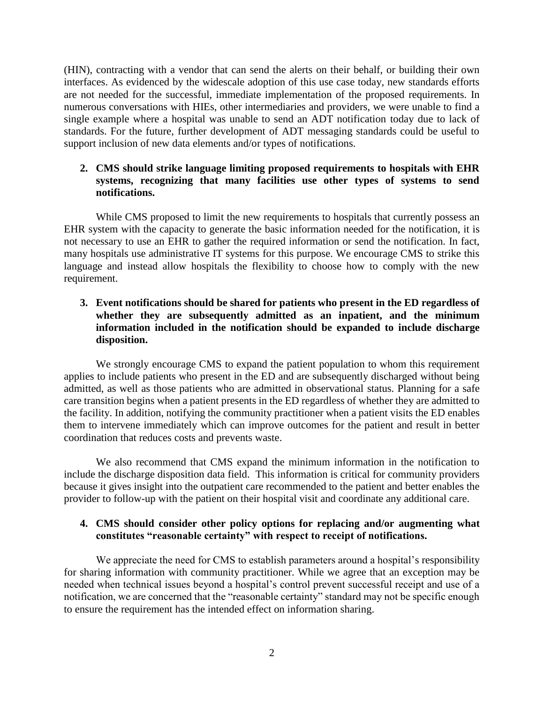(HIN), contracting with a vendor that can send the alerts on their behalf, or building their own interfaces. As evidenced by the widescale adoption of this use case today, new standards efforts are not needed for the successful, immediate implementation of the proposed requirements. In numerous conversations with HIEs, other intermediaries and providers, we were unable to find a single example where a hospital was unable to send an ADT notification today due to lack of standards. For the future, further development of ADT messaging standards could be useful to support inclusion of new data elements and/or types of notifications.

# **2. CMS should strike language limiting proposed requirements to hospitals with EHR systems, recognizing that many facilities use other types of systems to send notifications.**

While CMS proposed to limit the new requirements to hospitals that currently possess an EHR system with the capacity to generate the basic information needed for the notification, it is not necessary to use an EHR to gather the required information or send the notification. In fact, many hospitals use administrative IT systems for this purpose. We encourage CMS to strike this language and instead allow hospitals the flexibility to choose how to comply with the new requirement.

**3. Event notifications should be shared for patients who present in the ED regardless of whether they are subsequently admitted as an inpatient, and the minimum information included in the notification should be expanded to include discharge disposition.**

We strongly encourage CMS to expand the patient population to whom this requirement applies to include patients who present in the ED and are subsequently discharged without being admitted, as well as those patients who are admitted in observational status. Planning for a safe care transition begins when a patient presents in the ED regardless of whether they are admitted to the facility. In addition, notifying the community practitioner when a patient visits the ED enables them to intervene immediately which can improve outcomes for the patient and result in better coordination that reduces costs and prevents waste.

We also recommend that CMS expand the minimum information in the notification to include the discharge disposition data field. This information is critical for community providers because it gives insight into the outpatient care recommended to the patient and better enables the provider to follow-up with the patient on their hospital visit and coordinate any additional care.

### **4. CMS should consider other policy options for replacing and/or augmenting what constitutes "reasonable certainty" with respect to receipt of notifications.**

We appreciate the need for CMS to establish parameters around a hospital's responsibility for sharing information with community practitioner. While we agree that an exception may be needed when technical issues beyond a hospital's control prevent successful receipt and use of a notification, we are concerned that the "reasonable certainty" standard may not be specific enough to ensure the requirement has the intended effect on information sharing.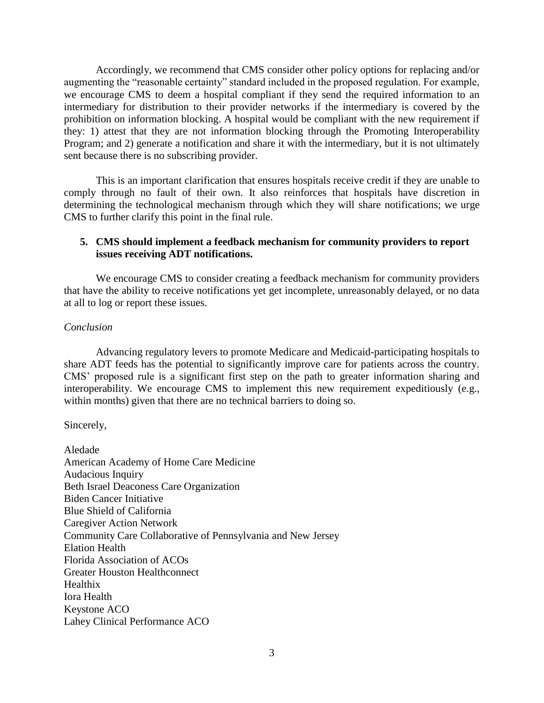Accordingly, we recommend that CMS consider other policy options for replacing and/or augmenting the "reasonable certainty" standard included in the proposed regulation. For example, we encourage CMS to deem a hospital compliant if they send the required information to an intermediary for distribution to their provider networks if the intermediary is covered by the prohibition on information blocking. A hospital would be compliant with the new requirement if they: 1) attest that they are not information blocking through the Promoting Interoperability Program; and 2) generate a notification and share it with the intermediary, but it is not ultimately sent because there is no subscribing provider.

This is an important clarification that ensures hospitals receive credit if they are unable to comply through no fault of their own. It also reinforces that hospitals have discretion in determining the technological mechanism through which they will share notifications; we urge CMS to further clarify this point in the final rule.

## **5. CMS should implement a feedback mechanism for community providers to report issues receiving ADT notifications.**

We encourage CMS to consider creating a feedback mechanism for community providers that have the ability to receive notifications yet get incomplete, unreasonably delayed, or no data at all to log or report these issues.

#### *Conclusion*

Advancing regulatory levers to promote Medicare and Medicaid-participating hospitals to share ADT feeds has the potential to significantly improve care for patients across the country. CMS' proposed rule is a significant first step on the path to greater information sharing and interoperability. We encourage CMS to implement this new requirement expeditiously (e.g., within months) given that there are no technical barriers to doing so.

Sincerely,

Aledade American Academy of Home Care Medicine Audacious Inquiry Beth Israel Deaconess Care Organization Biden Cancer Initiative Blue Shield of California Caregiver Action Network Community Care Collaborative of Pennsylvania and New Jersey Elation Health Florida Association of ACOs Greater Houston Healthconnect Healthix Iora Health Keystone ACO Lahey Clinical Performance ACO